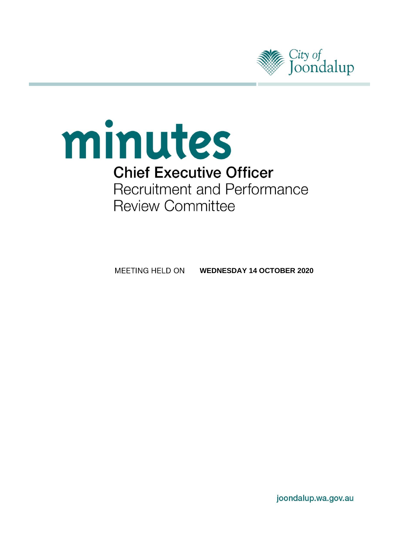

# minutes **Chief Executive Officer Recruitment and Performance Review Committee**

MEETING HELD ON **WEDNESDAY 14 OCTOBER 2020**

joondalup.wa.gov.au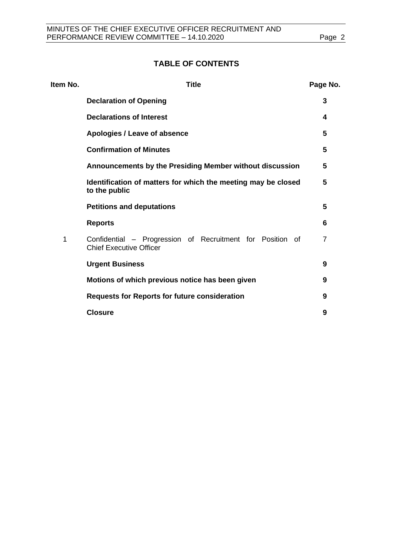# **TABLE OF CONTENTS**

| Item No. | <b>Title</b>                                                                                |   |
|----------|---------------------------------------------------------------------------------------------|---|
|          | <b>Declaration of Opening</b>                                                               | 3 |
|          | <b>Declarations of Interest</b>                                                             | 4 |
|          | Apologies / Leave of absence                                                                | 5 |
|          | <b>Confirmation of Minutes</b>                                                              | 5 |
|          | Announcements by the Presiding Member without discussion                                    | 5 |
|          | Identification of matters for which the meeting may be closed<br>to the public              | 5 |
|          | <b>Petitions and deputations</b>                                                            | 5 |
|          | <b>Reports</b>                                                                              | 6 |
| 1        | Confidential – Progression of Recruitment for Position of<br><b>Chief Executive Officer</b> | 7 |
|          | <b>Urgent Business</b>                                                                      | 9 |
|          | Motions of which previous notice has been given                                             | 9 |
|          | <b>Requests for Reports for future consideration</b>                                        | 9 |
|          | <b>Closure</b>                                                                              | 9 |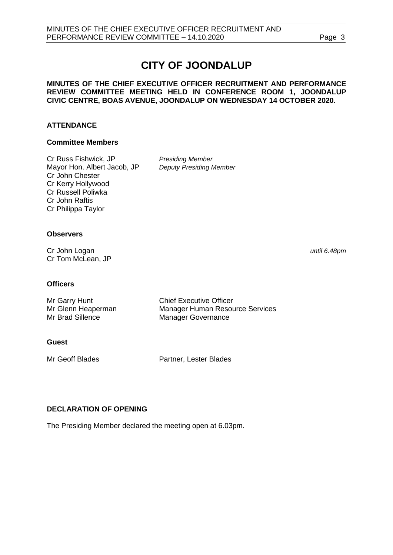# **CITY OF JOONDALUP**

#### **MINUTES OF THE CHIEF EXECUTIVE OFFICER RECRUITMENT AND PERFORMANCE REVIEW COMMITTEE MEETING HELD IN CONFERENCE ROOM 1, JOONDALUP CIVIC CENTRE, BOAS AVENUE, JOONDALUP ON WEDNESDAY 14 OCTOBER 2020.**

#### **ATTENDANCE**

#### **Committee Members**

Cr Russ Fishwick, JP *Presiding Member* Mayor Hon. Albert Jacob, JP *Deputy Presiding Member* Cr John Chester Cr Kerry Hollywood Cr Russell Poliwka Cr John Raftis Cr Philippa Taylor

#### **Observers**

Cr John Logan *until 6.48pm* Cr Tom McLean, JP

#### **Officers**

| Mr Garry Hunt      | <b>Chief Executive Officer</b>  |
|--------------------|---------------------------------|
| Mr Glenn Heaperman | Manager Human Resource Services |
| Mr Brad Sillence   | Manager Governance              |

#### **Guest**

Mr Geoff Blades **Partner**, Lester Blades

### <span id="page-2-0"></span>**DECLARATION OF OPENING**

<span id="page-2-1"></span>The Presiding Member declared the meeting open at 6.03pm.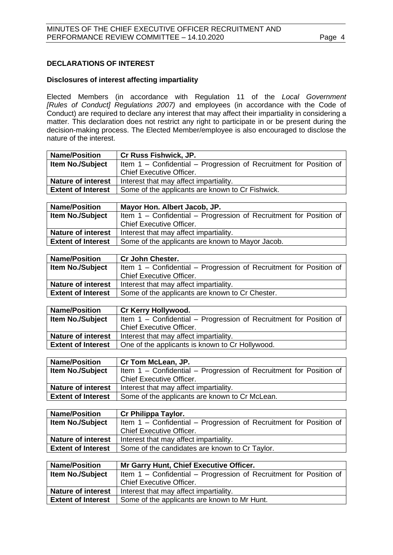#### **DECLARATIONS OF INTEREST**

#### **Disclosures of interest affecting impartiality**

Elected Members (in accordance with Regulation 11 of the *Local Government [Rules of Conduct] Regulations 2007)* and employees (in accordance with the Code of Conduct) are required to declare any interest that may affect their impartiality in considering a matter. This declaration does not restrict any right to participate in or be present during the decision-making process. The Elected Member/employee is also encouraged to disclose the nature of the interest.

| <b>Name/Position</b>      | <b>Cr Russ Fishwick, JP.</b>                                       |
|---------------------------|--------------------------------------------------------------------|
| <b>Item No./Subject</b>   | Item 1 – Confidential – Progression of Recruitment for Position of |
|                           | <b>Chief Executive Officer.</b>                                    |
| <b>Nature of interest</b> | Interest that may affect impartiality.                             |
| <b>Extent of Interest</b> | Some of the applicants are known to Cr Fishwick.                   |

| <b>Name/Position</b>      | Mayor Hon. Albert Jacob, JP.                                       |
|---------------------------|--------------------------------------------------------------------|
| <b>Item No./Subject</b>   | Item 1 – Confidential – Progression of Recruitment for Position of |
|                           | <b>Chief Executive Officer.</b>                                    |
| <b>Nature of interest</b> | Interest that may affect impartiality.                             |
| <b>Extent of Interest</b> | Some of the applicants are known to Mayor Jacob.                   |

| <b>Name/Position</b>      | <b>Cr John Chester.</b>                                            |
|---------------------------|--------------------------------------------------------------------|
| <b>Item No./Subject</b>   | Item 1 - Confidential - Progression of Recruitment for Position of |
|                           | <b>Chief Executive Officer.</b>                                    |
| <b>Nature of interest</b> | Interest that may affect impartiality.                             |
| <b>Extent of Interest</b> | Some of the applicants are known to Cr Chester.                    |
|                           |                                                                    |

| Cr Kerry Hollywood.                                                |
|--------------------------------------------------------------------|
| Item 1 - Confidential - Progression of Recruitment for Position of |
| <b>Chief Executive Officer.</b>                                    |
| Interest that may affect impartiality.                             |
| One of the applicants is known to Cr Hollywood.                    |
|                                                                    |

| <b>Name/Position</b>      | Cr Tom McLean, JP.                                                 |
|---------------------------|--------------------------------------------------------------------|
| <b>Item No./Subject</b>   | Item 1 - Confidential - Progression of Recruitment for Position of |
|                           | <b>Chief Executive Officer.</b>                                    |
| <b>Nature of interest</b> | Interest that may affect impartiality.                             |
| <b>Extent of Interest</b> | Some of the applicants are known to Cr McLean.                     |
|                           |                                                                    |

| <b>Name/Position</b>      | Cr Philippa Taylor.                                                |
|---------------------------|--------------------------------------------------------------------|
| <b>Item No./Subject</b>   | Item 1 - Confidential - Progression of Recruitment for Position of |
|                           | <b>Chief Executive Officer.</b>                                    |
| <b>Nature of interest</b> | Interest that may affect impartiality.                             |
| <b>Extent of Interest</b> | Some of the candidates are known to Cr Taylor.                     |

| <b>Name/Position</b>      | Mr Garry Hunt, Chief Executive Officer.                            |
|---------------------------|--------------------------------------------------------------------|
| Item No./Subject          | Item 1 - Confidential - Progression of Recruitment for Position of |
|                           | <b>Chief Executive Officer.</b>                                    |
| <b>Nature of interest</b> | Interest that may affect impartiality.                             |
| <b>Extent of Interest</b> | Some of the applicants are known to Mr Hunt.                       |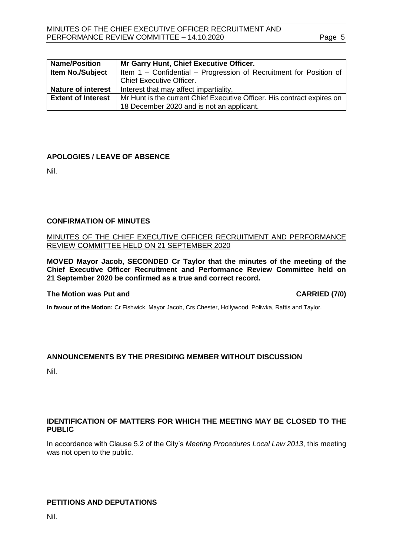| <b>Name/Position</b>      | Mr Garry Hunt, Chief Executive Officer.                                 |
|---------------------------|-------------------------------------------------------------------------|
| Item No./Subject          | Item 1 - Confidential - Progression of Recruitment for Position of      |
|                           | <b>Chief Executive Officer.</b>                                         |
| <b>Nature of interest</b> | Interest that may affect impartiality.                                  |
| <b>Extent of Interest</b> | Mr Hunt is the current Chief Executive Officer. His contract expires on |
|                           | 18 December 2020 and is not an applicant.                               |

#### <span id="page-4-0"></span>**APOLOGIES / LEAVE OF ABSENCE**

Nil.

#### <span id="page-4-1"></span>**CONFIRMATION OF MINUTES**

#### MINUTES OF THE CHIEF EXECUTIVE OFFICER RECRUITMENT AND PERFORMANCE REVIEW COMMITTEE HELD ON 21 SEPTEMBER 2020

**MOVED Mayor Jacob, SECONDED Cr Taylor that the minutes of the meeting of the Chief Executive Officer Recruitment and Performance Review Committee held on 21 September 2020 be confirmed as a true and correct record.**

#### **The Motion was Put and CARRIED (7/0)**

**In favour of the Motion:** Cr Fishwick, Mayor Jacob, Crs Chester, Hollywood, Poliwka, Raftis and Taylor.

#### **ANNOUNCEMENTS BY THE PRESIDING MEMBER WITHOUT DISCUSSION**

Nil.

#### <span id="page-4-2"></span>**IDENTIFICATION OF MATTERS FOR WHICH THE MEETING MAY BE CLOSED TO THE PUBLIC**

In accordance with Clause 5.2 of the City's *Meeting Procedures Local Law 2013*, this meeting was not open to the public.

#### <span id="page-4-3"></span>**PETITIONS AND DEPUTATIONS**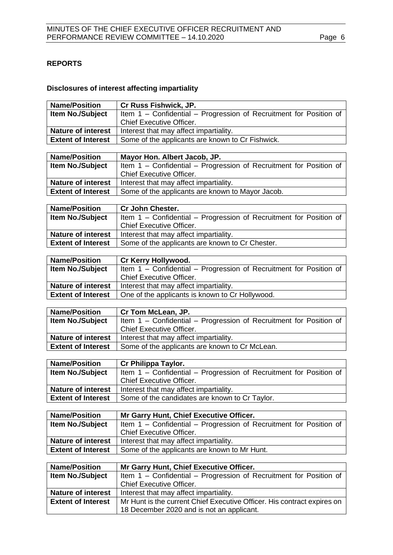# <span id="page-5-0"></span>**REPORTS**

## **Disclosures of interest affecting impartiality**

| <b>Name/Position</b>      | Cr Russ Fishwick, JP.                                                                                 |  |  |  |  |
|---------------------------|-------------------------------------------------------------------------------------------------------|--|--|--|--|
| Item No./Subject          | Item 1 - Confidential - Progression of Recruitment for Position of                                    |  |  |  |  |
|                           | Chief Executive Officer.                                                                              |  |  |  |  |
| <b>Nature of interest</b> | Interest that may affect impartiality.                                                                |  |  |  |  |
| <b>Extent of Interest</b> | Some of the applicants are known to Cr Fishwick.                                                      |  |  |  |  |
|                           |                                                                                                       |  |  |  |  |
| <b>Name/Position</b>      | Mayor Hon. Albert Jacob, JP.                                                                          |  |  |  |  |
| Item No./Subject          | Item 1 - Confidential - Progression of Recruitment for Position of                                    |  |  |  |  |
| <b>Nature of interest</b> | Chief Executive Officer.                                                                              |  |  |  |  |
| <b>Extent of Interest</b> | Interest that may affect impartiality.<br>Some of the applicants are known to Mayor Jacob.            |  |  |  |  |
|                           |                                                                                                       |  |  |  |  |
| <b>Name/Position</b>      | Cr John Chester.                                                                                      |  |  |  |  |
| <b>Item No./Subject</b>   | Item 1 - Confidential - Progression of Recruitment for Position of                                    |  |  |  |  |
|                           | Chief Executive Officer.                                                                              |  |  |  |  |
| <b>Nature of interest</b> | Interest that may affect impartiality.                                                                |  |  |  |  |
| <b>Extent of Interest</b> | Some of the applicants are known to Cr Chester.                                                       |  |  |  |  |
|                           |                                                                                                       |  |  |  |  |
| <b>Name/Position</b>      | Cr Kerry Hollywood.                                                                                   |  |  |  |  |
| <b>Item No./Subject</b>   | Item 1 - Confidential - Progression of Recruitment for Position of                                    |  |  |  |  |
| <b>Nature of interest</b> | Chief Executive Officer.                                                                              |  |  |  |  |
| <b>Extent of Interest</b> | Interest that may affect impartiality.<br>One of the applicants is known to Cr Hollywood.             |  |  |  |  |
|                           |                                                                                                       |  |  |  |  |
| <b>Name/Position</b>      | Cr Tom McLean, JP.                                                                                    |  |  |  |  |
| Item No./Subject          | Item 1 - Confidential - Progression of Recruitment for Position of                                    |  |  |  |  |
|                           | <b>Chief Executive Officer.</b>                                                                       |  |  |  |  |
| <b>Nature of interest</b> | Interest that may affect impartiality.                                                                |  |  |  |  |
| <b>Extent of Interest</b> | Some of the applicants are known to Cr McLean.                                                        |  |  |  |  |
|                           |                                                                                                       |  |  |  |  |
| <b>Name/Position</b>      | Cr Philippa Taylor.                                                                                   |  |  |  |  |
| Item No./Subject          | Item 1 - Confidential - Progression of Recruitment for Position of<br><b>Chief Executive Officer.</b> |  |  |  |  |
| <b>Nature of interest</b> | Interest that may affect impartiality.                                                                |  |  |  |  |
| <b>Extent of Interest</b> | Some of the candidates are known to Cr Taylor.                                                        |  |  |  |  |
|                           |                                                                                                       |  |  |  |  |
| <b>Name/Position</b>      | Mr Garry Hunt, Chief Executive Officer.                                                               |  |  |  |  |
| Item No./Subject          | Item 1 - Confidential - Progression of Recruitment for Position of                                    |  |  |  |  |
|                           | Chief Executive Officer.                                                                              |  |  |  |  |
| <b>Nature of interest</b> | Interest that may affect impartiality.                                                                |  |  |  |  |
| <b>Extent of Interest</b> | Some of the applicants are known to Mr Hunt.                                                          |  |  |  |  |
|                           |                                                                                                       |  |  |  |  |
| <b>Name/Position</b>      | Mr Garry Hunt, Chief Executive Officer.                                                               |  |  |  |  |
| Item No./Subject          | Item 1 - Confidential - Progression of Recruitment for Position of<br>Chief Executive Officer.        |  |  |  |  |
| <b>Nature of interest</b> | Interest that may affect impartiality.                                                                |  |  |  |  |
|                           | Mr Hunt is the current Chief Executive Officer. His contract expires on                               |  |  |  |  |
| <b>Extent of Interest</b> |                                                                                                       |  |  |  |  |
|                           |                                                                                                       |  |  |  |  |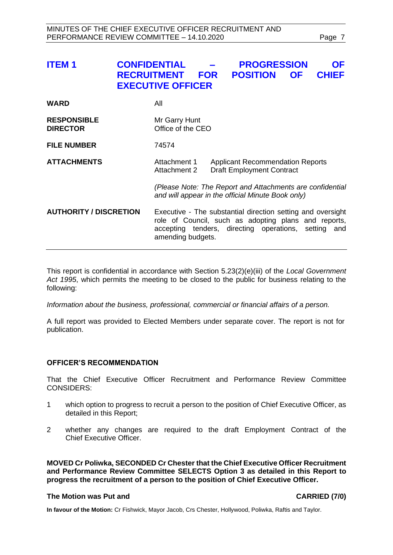<span id="page-6-0"></span>

| <b>ITEM1</b>                          | <b>CONFIDENTIAL</b><br><b>RECRUITMENT</b><br><b>EXECUTIVE OFFICER</b> | <b>FOR</b>                                                                                                                                                                                                                           | <b>PROGRESSION</b><br><b>POSITION</b> | <b>OF</b> | <b>OF</b><br><b>CHIEF</b> |
|---------------------------------------|-----------------------------------------------------------------------|--------------------------------------------------------------------------------------------------------------------------------------------------------------------------------------------------------------------------------------|---------------------------------------|-----------|---------------------------|
| <b>WARD</b>                           | All                                                                   |                                                                                                                                                                                                                                      |                                       |           |                           |
| <b>RESPONSIBLE</b><br><b>DIRECTOR</b> |                                                                       | Mr Garry Hunt<br>Office of the CEO                                                                                                                                                                                                   |                                       |           |                           |
| <b>FILE NUMBER</b>                    | 74574                                                                 |                                                                                                                                                                                                                                      |                                       |           |                           |
| <b>ATTACHMENTS</b>                    |                                                                       | Attachment 1<br><b>Applicant Recommendation Reports</b><br><b>Attachment 2</b><br><b>Draft Employment Contract</b><br>(Please Note: The Report and Attachments are confidential<br>and will appear in the official Minute Book only) |                                       |           |                           |
|                                       |                                                                       |                                                                                                                                                                                                                                      |                                       |           |                           |
| <b>AUTHORITY / DISCRETION</b>         |                                                                       | Executive - The substantial direction setting and oversight<br>role of Council, such as adopting plans and reports,<br>accepting tenders, directing operations, setting and<br>amending budgets.                                     |                                       |           |                           |

This report is confidential in accordance with Section 5.23(2)(e)(iii) of the *Local Government Act 1995*, which permits the meeting to be closed to the public for business relating to the following:

*Information about the business, professional, commercial or financial affairs of a person.*

A full report was provided to Elected Members under separate cover. The report is not for publication.

#### **OFFICER'S RECOMMENDATION**

That the Chief Executive Officer Recruitment and Performance Review Committee CONSIDERS:

- 1 which option to progress to recruit a person to the position of Chief Executive Officer, as detailed in this Report;
- 2 whether any changes are required to the draft Employment Contract of the Chief Executive Officer.

**MOVED Cr Poliwka, SECONDED Cr Chester that the Chief Executive Officer Recruitment and Performance Review Committee SELECTS Option 3 as detailed in this Report to progress the recruitment of a person to the position of Chief Executive Officer.**

#### **The Motion was Put and CARRIED (7/0)**

**In favour of the Motion:** Cr Fishwick, Mayor Jacob, Crs Chester, Hollywood, Poliwka, Raftis and Taylor.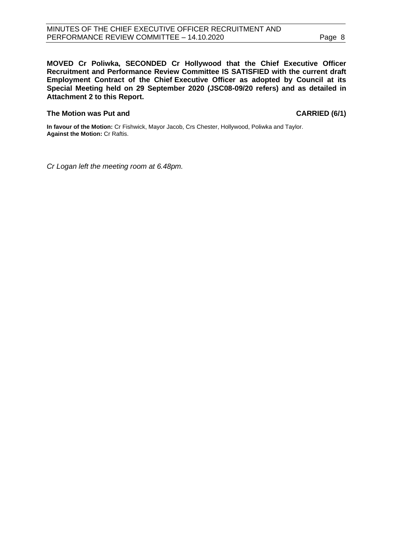**MOVED Cr Poliwka, SECONDED Cr Hollywood that the Chief Executive Officer Recruitment and Performance Review Committee IS SATISFIED with the current draft Employment Contract of the Chief Executive Officer as adopted by Council at its Special Meeting held on 29 September 2020 (JSC08-09/20 refers) and as detailed in Attachment 2 to this Report.**

#### **The Motion was Put and CARRIED (6/1)**

**In favour of the Motion:** Cr Fishwick, Mayor Jacob, Crs Chester, Hollywood, Poliwka and Taylor. **Against the Motion:** Cr Raftis.

*Cr Logan left the meeting room at 6.48pm.*